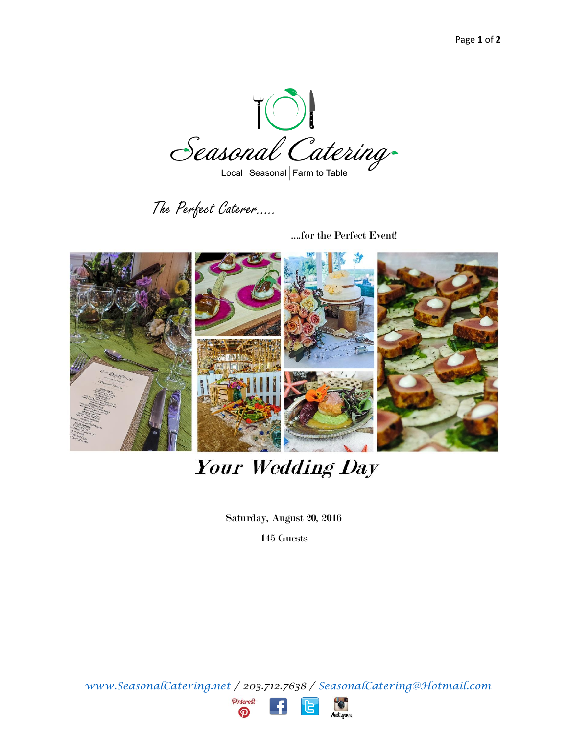Seasonal Catering

Local | Seasonal | Farm to Table

The Perfect Caterer…..

….for the Perfect Event!



# **Your Wedding Day**

Saturday, August 20, 2016

145 Guests

*www.SeasonalCatering.net / 203.712.7638 / [SeasonalCatering@Hotmail.com](mailto:SeasonalCatering@Hotmail.com)*